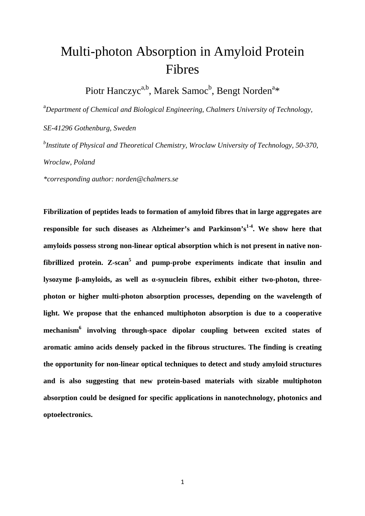# Multi-photon Absorption in Amyloid Protein Fibres

Piotr Hanczyc<sup>a,b</sup>, Marek Samoc<sup>b</sup>, Bengt Norden<sup>a</sup>\*

<sup>a</sup>*Department of Chemical and Biological Engineering, Chalmers University of Technology,* 

*SE-41296 Gothenburg, Sweden* 

*b Institute of Physical and Theoretical Chemistry, Wroclaw University of Technology, 50-370, Wroclaw, Poland* 

*\*corresponding author: norden@chalmers.se* 

**Fibrilization of peptides leads to formation of amyloid fibres that in large aggregates are responsible for such diseases as Alzheimer's and Parkinson's1-4. We show here that amyloids possess strong non-linear optical absorption which is not present in native nonfibrillized protein. Z-scan<sup>5</sup> and pump-probe experiments indicate that insulin and lysozyme β-amyloids, as well as α-synuclein fibres, exhibit either two-photon, threephoton or higher multi-photon absorption processes, depending on the wavelength of light. We propose that the enhanced multiphoton absorption is due to a cooperative mechanism<sup>6</sup> involving through-space dipolar coupling between excited states of aromatic amino acids densely packed in the fibrous structures. The finding is creating the opportunity for non-linear optical techniques to detect and study amyloid structures and is also suggesting that new protein-based materials with sizable multiphoton absorption could be designed for specific applications in nanotechnology, photonics and optoelectronics.**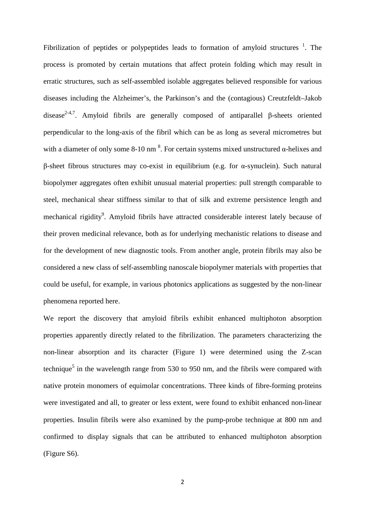Fibrilization of peptides or polypeptides leads to formation of amyloid structures  $1$ . The process is promoted by certain mutations that affect protein folding which may result in erratic structures, such as self-assembled isolable aggregates believed responsible for various diseases including the Alzheimer's, the Parkinson's and the (contagious) Creutzfeldt–Jakob disease<sup>2-4,7</sup>. Amyloid fibrils are generally composed of antiparallel β-sheets oriented perpendicular to the long-axis of the fibril which can be as long as several micrometres but with a diameter of only some 8-10 nm<sup>8</sup>. For certain systems mixed unstructured  $\alpha$ -helixes and β-sheet fibrous structures may co-exist in equilibrium (e.g. for α-synuclein). Such natural biopolymer aggregates often exhibit unusual material properties: pull strength comparable to steel, mechanical shear stiffness similar to that of silk and extreme persistence length and mechanical rigidity<sup>9</sup>. Amyloid fibrils have attracted considerable interest lately because of their proven medicinal relevance, both as for underlying mechanistic relations to disease and for the development of new diagnostic tools. From another angle, protein fibrils may also be considered a new class of self-assembling nanoscale biopolymer materials with properties that could be useful, for example, in various photonics applications as suggested by the non-linear phenomena reported here.

We report the discovery that amyloid fibrils exhibit enhanced multiphoton absorption properties apparently directly related to the fibrilization. The parameters characterizing the non-linear absorption and its character (Figure 1) were determined using the Z-scan technique<sup>5</sup> in the wavelength range from 530 to 950 nm, and the fibrils were compared with native protein monomers of equimolar concentrations. Three kinds of fibre-forming proteins were investigated and all, to greater or less extent, were found to exhibit enhanced non-linear properties. Insulin fibrils were also examined by the pump-probe technique at 800 nm and confirmed to display signals that can be attributed to enhanced multiphoton absorption (Figure S6).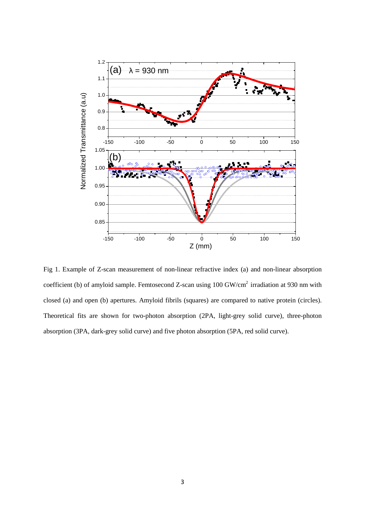

Fig 1. Example of Z-scan measurement of non-linear refractive index (a) and non-linear absorption coefficient (b) of amyloid sample. Femtosecond Z-scan using 100 GW/cm<sup>2</sup> irradiation at 930 nm with closed (a) and open (b) apertures. Amyloid fibrils (squares) are compared to native protein (circles). Theoretical fits are shown for two-photon absorption (2PA, light-grey solid curve), three-photon absorption (3PA, dark-grey solid curve) and five photon absorption (5PA, red solid curve).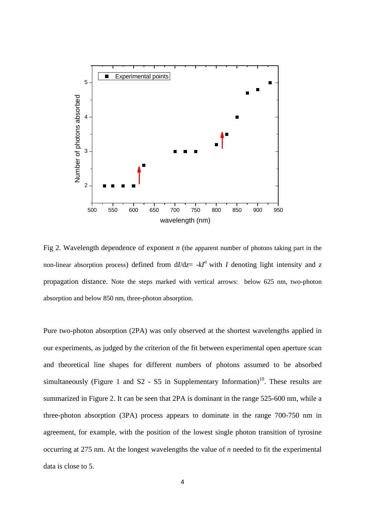

Fig 2. Wavelength dependence of exponent *n* (the apparent number of photons taking part in the non-linear absorption process) defined from  $dI/dz = -kI^n$  with *I* denoting light intensity and *z* propagation distance. Note the steps marked with vertical arrows: below 625 nm, two-photon absorption and below 850 nm, three-photon absorption.

Pure two-photon absorption (2PA) was only observed at the shortest wavelengths applied in our experiments, as judged by the criterion of the fit between experimental open aperture scan and theoretical line shapes for different numbers of photons assumed to be absorbed simultaneously (Figure 1 and  $S2 - S5$  in Supplementary Information)<sup>10</sup>. These results are summarized in Figure 2. It can be seen that 2PA is dominant in the range 525-600 nm, while a three-photon absorption (3PA) process appears to dominate in the range 700-750 nm in agreement, for example, with the position of the lowest single photon transition of tyrosine occurring at 275 nm. At the longest wavelengths the value of *n* needed to fit the experimental data is close to 5.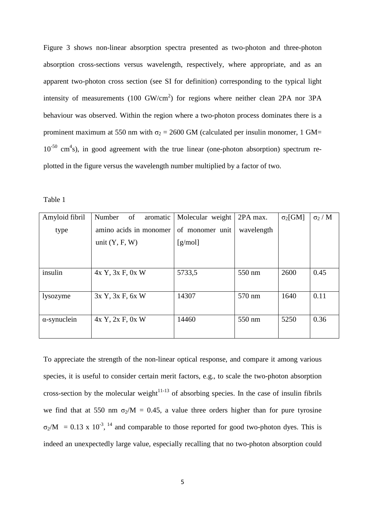Figure 3 shows non-linear absorption spectra presented as two-photon and three-photon absorption cross-sections versus wavelength, respectively, where appropriate, and as an apparent two-photon cross section (see SI for definition) corresponding to the typical light intensity of measurements (100 GW/cm<sup>2</sup>) for regions where neither clean 2PA nor 3PA behaviour was observed. Within the region where a two-photon process dominates there is a prominent maximum at 550 nm with  $\sigma_2 = 2600$  GM (calculated per insulin monomer, 1 GM=  $10^{-50}$  cm<sup>4</sup>s), in good agreement with the true linear (one-photon absorption) spectrum replotted in the figure versus the wavelength number multiplied by a factor of two.

Table 1

| Amyloid fibril      | of<br>Number<br>aromatic | Molecular weight | 2PA max.   | $\sigma_2$ [GM] | $\sigma_2/M$ |
|---------------------|--------------------------|------------------|------------|-----------------|--------------|
| type                | amino acids in monomer   | of monomer unit  | wavelength |                 |              |
|                     | unit $(Y, F, W)$         | [g/mol]          |            |                 |              |
|                     |                          |                  |            |                 |              |
|                     |                          |                  |            |                 |              |
| insulin             | 4x Y, 3x F, 0x W         | 5733,5           | 550 nm     | 2600            | 0.45         |
|                     |                          |                  |            |                 |              |
| lysozyme            | 3x Y, 3x F, 6x W         | 14307            | 570 nm     | 1640            | 0.11         |
|                     |                          |                  |            |                 |              |
| $\alpha$ -synuclein | $4x$ Y, $2x$ F, $0x$ W   | 14460            | 550 nm     | 5250            | 0.36         |
|                     |                          |                  |            |                 |              |

To appreciate the strength of the non-linear optical response, and compare it among various species, it is useful to consider certain merit factors, e.g., to scale the two-photon absorption cross-section by the molecular weight<sup>11-13</sup> of absorbing species. In the case of insulin fibrils we find that at 550 nm  $\sigma_2/M = 0.45$ , a value three orders higher than for pure tyrosine  $\sigma_2/M = 0.13 \times 10^{-3}$ , <sup>14</sup> and comparable to those reported for good two-photon dyes. This is indeed an unexpectedly large value, especially recalling that no two-photon absorption could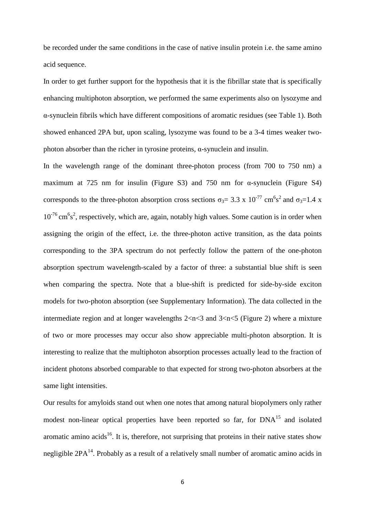be recorded under the same conditions in the case of native insulin protein i.e. the same amino acid sequence.

In order to get further support for the hypothesis that it is the fibrillar state that is specifically enhancing multiphoton absorption, we performed the same experiments also on lysozyme and α-synuclein fibrils which have different compositions of aromatic residues (see Table 1). Both showed enhanced 2PA but, upon scaling, lysozyme was found to be a 3-4 times weaker twophoton absorber than the richer in tyrosine proteins, α-synuclein and insulin.

In the wavelength range of the dominant three-photon process (from 700 to 750 nm) a maximum at 725 nm for insulin (Figure S3) and 750 nm for  $\alpha$ -synuclein (Figure S4) corresponds to the three-photon absorption cross sections  $\sigma_3 = 3.3 \times 10^{-77} \text{ cm}^6 \text{s}^2$  and  $\sigma_3 = 1.4 \times 10^{-77} \text{ cm}^2 \text{s}^2$  $10^{-76}$  cm<sup>6</sup>s<sup>2</sup>, respectively, which are, again, notably high values. Some caution is in order when assigning the origin of the effect, i.e. the three-photon active transition, as the data points corresponding to the 3PA spectrum do not perfectly follow the pattern of the one-photon absorption spectrum wavelength-scaled by a factor of three: a substantial blue shift is seen when comparing the spectra. Note that a blue-shift is predicted for side-by-side exciton models for two-photon absorption (see Supplementary Information). The data collected in the intermediate region and at longer wavelengths  $2 < n < 3$  and  $3 < n < 5$  (Figure 2) where a mixture of two or more processes may occur also show appreciable multi-photon absorption. It is interesting to realize that the multiphoton absorption processes actually lead to the fraction of incident photons absorbed comparable to that expected for strong two-photon absorbers at the same light intensities.

Our results for amyloids stand out when one notes that among natural biopolymers only rather modest non-linear optical properties have been reported so far, for DNA<sup>15</sup> and isolated aromatic amino acids<sup>16</sup>. It is, therefore, not surprising that proteins in their native states show negligible  $2PA^{14}$ . Probably as a result of a relatively small number of aromatic amino acids in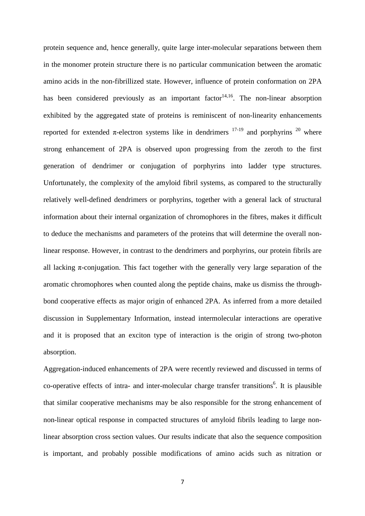protein sequence and, hence generally, quite large inter-molecular separations between them in the monomer protein structure there is no particular communication between the aromatic amino acids in the non-fibrillized state. However, influence of protein conformation on 2PA has been considered previously as an important factor  $14,16$ . The non-linear absorption exhibited by the aggregated state of proteins is reminiscent of non-linearity enhancements reported for extended π-electron systems like in dendrimers  $17-19$  and porphyrins  $20$  where strong enhancement of 2PA is observed upon progressing from the zeroth to the first generation of dendrimer or conjugation of porphyrins into ladder type structures. Unfortunately, the complexity of the amyloid fibril systems, as compared to the structurally relatively well-defined dendrimers or porphyrins, together with a general lack of structural information about their internal organization of chromophores in the fibres, makes it difficult to deduce the mechanisms and parameters of the proteins that will determine the overall nonlinear response. However, in contrast to the dendrimers and porphyrins, our protein fibrils are all lacking  $\pi$ -conjugation. This fact together with the generally very large separation of the aromatic chromophores when counted along the peptide chains, make us dismiss the throughbond cooperative effects as major origin of enhanced 2PA. As inferred from a more detailed discussion in Supplementary Information, instead intermolecular interactions are operative and it is proposed that an exciton type of interaction is the origin of strong two-photon absorption.

Aggregation-induced enhancements of 2PA were recently reviewed and discussed in terms of co-operative effects of intra- and inter-molecular charge transfer transitions<sup>6</sup>. It is plausible that similar cooperative mechanisms may be also responsible for the strong enhancement of non-linear optical response in compacted structures of amyloid fibrils leading to large nonlinear absorption cross section values. Our results indicate that also the sequence composition is important, and probably possible modifications of amino acids such as nitration or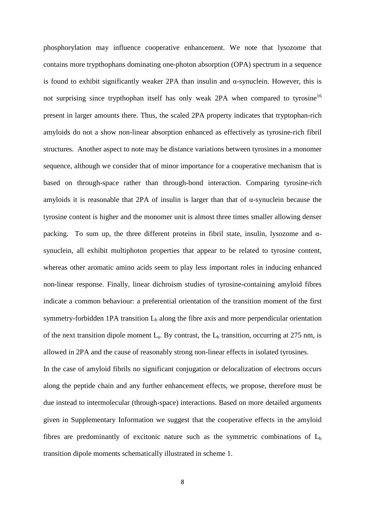phosphorylation may influence cooperative enhancement. We note that lysozome that contains more trypthophans dominating one-photon absorption (OPA) spectrum in a sequence is found to exhibit significantly weaker 2PA than insulin and  $\alpha$ -synuclein. However, this is not surprising since trypthophan itself has only weak 2PA when compared to tyrosine<sup>16</sup> present in larger amounts there. Thus, the scaled 2PA property indicates that tryptophan-rich amyloids do not a show non-linear absorption enhanced as effectively as tyrosine-rich fibril structures. Another aspect to note may be distance variations between tyrosines in a monomer sequence, although we consider that of minor importance for a cooperative mechanism that is based on through-space rather than through-bond interaction. Comparing tyrosine-rich amyloids it is reasonable that 2PA of insulin is larger than that of  $\alpha$ -synuclein because the tyrosine content is higher and the monomer unit is almost three times smaller allowing denser packing. To sum up, the three different proteins in fibril state, insulin, lysozome and  $\alpha$ synuclein, all exhibit multiphoton properties that appear to be related to tyrosine content, whereas other aromatic amino acids seem to play less important roles in inducing enhanced non-linear response. Finally, linear dichroism studies of tyrosine-containing amyloid fibres indicate a common behaviour: a preferential orientation of the transition moment of the first symmetry-forbidden 1PA transition  $L<sub>b</sub>$  along the fibre axis and more perpendicular orientation of the next transition dipole moment  $L_a$ . By contrast, the  $L_b$  transition, occurring at 275 nm, is allowed in 2PA and the cause of reasonably strong non-linear effects in isolated tyrosines.

In the case of amyloid fibrils no significant conjugation or delocalization of electrons occurs along the peptide chain and any further enhancement effects, we propose, therefore must be due instead to intermolecular (through-space) interactions. Based on more detailed arguments given in Supplementary Information we suggest that the cooperative effects in the amyloid fibres are predominantly of excitonic nature such as the symmetric combinations of  $L<sub>b</sub>$ transition dipole moments schematically illustrated in scheme 1.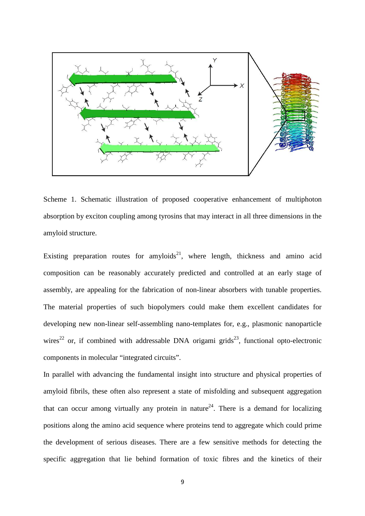

Scheme 1. Schematic illustration of proposed cooperative enhancement of multiphoton absorption by exciton coupling among tyrosins that may interact in all three dimensions in the amyloid structure.

Existing preparation routes for amyloids<sup>21</sup>, where length, thickness and amino acid composition can be reasonably accurately predicted and controlled at an early stage of assembly, are appealing for the fabrication of non-linear absorbers with tunable properties. The material properties of such biopolymers could make them excellent candidates for developing new non-linear self-assembling nano-templates for, e.g., plasmonic nanoparticle wires<sup>22</sup> or, if combined with addressable DNA origami grids<sup>23</sup>, functional opto-electronic components in molecular "integrated circuits".

In parallel with advancing the fundamental insight into structure and physical properties of amyloid fibrils, these often also represent a state of misfolding and subsequent aggregation that can occur among virtually any protein in nature<sup>24</sup>. There is a demand for localizing positions along the amino acid sequence where proteins tend to aggregate which could prime the development of serious diseases. There are a few sensitive methods for detecting the specific aggregation that lie behind formation of toxic fibres and the kinetics of their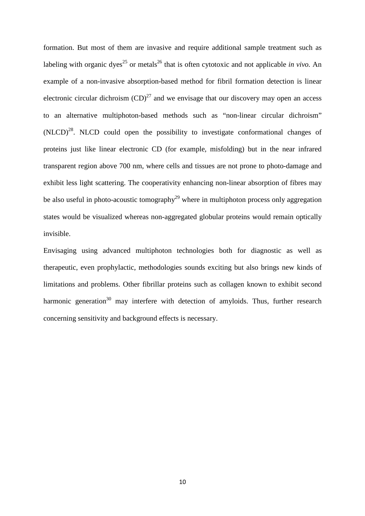formation. But most of them are invasive and require additional sample treatment such as labeling with organic dyes<sup>25</sup> or metals<sup>26</sup> that is often cytotoxic and not applicable *in vivo*. An example of a non-invasive absorption-based method for fibril formation detection is linear electronic circular dichroism  $(CD)^{27}$  and we envisage that our discovery may open an access to an alternative multiphoton-based methods such as "non-linear circular dichroism"  $(NLCD)^{28}$ . NLCD could open the possibility to investigate conformational changes of proteins just like linear electronic CD (for example, misfolding) but in the near infrared transparent region above 700 nm, where cells and tissues are not prone to photo-damage and exhibit less light scattering. The cooperativity enhancing non-linear absorption of fibres may be also useful in photo-acoustic tomography<sup>29</sup> where in multiphoton process only aggregation states would be visualized whereas non-aggregated globular proteins would remain optically invisible.

Envisaging using advanced multiphoton technologies both for diagnostic as well as therapeutic, even prophylactic, methodologies sounds exciting but also brings new kinds of limitations and problems. Other fibrillar proteins such as collagen known to exhibit second harmonic generation<sup>30</sup> may interfere with detection of amyloids. Thus, further research concerning sensitivity and background effects is necessary.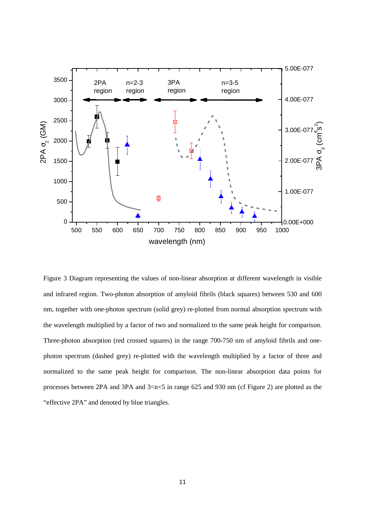

Figure 3 Diagram representing the values of non-linear absorption at different wavelength in visible and infrared region. Two-photon absorption of amyloid fibrils (black squares) between 530 and 600 nm, together with one-photon spectrum (solid grey) re-plotted from normal absorption spectrum with the wavelength multiplied by a factor of two and normalized to the same peak height for comparison. Three-photon absorption (red crossed squares) in the range 700-750 nm of amyloid fibrils and onephoton spectrum (dashed grey) re-plotted with the wavelength multiplied by a factor of three and normalized to the same peak height for comparison. The non-linear absorption data points for processes between 2PA and 3PA and 3<n<5 in range 625 and 930 nm (cf Figure 2) are plotted as the "effective 2PA" and denoted by blue triangles.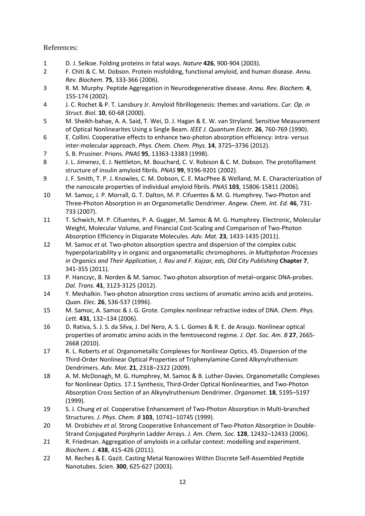References:

- 1 D. J. Selkoe. Folding proteins in fatal ways. *Nature* **426**, 900-904 (2003).
- 2 F. Chiti & C. M. Dobson. Protein misfolding, functional amyloid, and human disease. *Annu. Rev. Biochem.* **75**, 333-366 (2006).
- 3 R. M. Murphy. Peptide Aggregation in Neurodegenerative disease. *Annu. Rev. Biochem.* **4**, 155-174 (2002).
- 4 J. C. Rochet & P. T. Lansbury Jr. Amyloid fibrillogenesis: themes and variations. *Cur. Op. in Struct. Biol.* **10**, 60-68 (2000).
- 5 M. Sheikh-bahae, A. A. Said, T. Wei, D. J. Hagan & E. W. van Stryland. Sensitive Measurement of Optical Nonlinearites Using a Single Beam. *IEEE J. Quantum Electr.* **26**, 760-769 (1990).
- 6 E. Collini. Cooperative effects to enhance two-photon absorption efficiency: intra- versus inter-molecular approach. *Phys. Chem. Chem. Phys.* **14**, 3725–3736 (2012).
- 7 S. B. Prusiner. Prions. *PNAS* **95**, 13363-13383 (1998).
- 8 J. L. Jimenez, E. J. Nettleton, M. Bouchard, C. V. Robison & C. M. Dobson. The protofilament structure of insulin amyloid fibrils. *PNAS* **99**, 9196-9201 (2002).
- 9 J. F. Smith, T. P. J. Knowles, C. M. Dobson, C. E. MacPhee & Welland, M. E. Characterization of the nanoscale properties of individual amyloid fibrils. *PNAS* **103**, 15806-15811 (2006).
- 10 M. Samoc, J. P. Morrall, G. T. Dalton, M. P. Cifuentes & M. G. Humphrey. Two-Photon and Three-Photon Absorption in an Organometallic Dendrimer. *Angew. Chem. Int. Ed.* **46**, 731- 733 (2007).
- 11 T. Schwich, M. P. Cifuentes, P. A. Gugger, M. Samoc & M. G. Humphrey. Electronic, Molecular Weight, Molecular Volume, and Financial Cost-Scaling and Comparison of Two-Photon Absorption Efficiency in Disparate Molecules. *Adv. Mat.* **23**, 1433-1435 (2011).
- 12 M. Samoc *et al.* Two-photon absorption spectra and dispersion of the complex cubic hyperpolarizability γ in organic and organometallic chromophores. *in Multiphoton Processes in Organics and Their Application, I. Rau and F. Kajzar, eds, Old City Publishing* **Chapter 7**, 341-355 (2011).
- 13 P. Hanczyc, B. Norden & M. Samoc. Two-photon absorption of metal–organic DNA-probes. *Dal. Trans.* **41**, 3123-3125 (2012).
- 14 Y. Meshalkin. Two-photon absorption cross sections of aromatic amino acids and proteins. *Quan. Elec.* **26**, 536-537 (1996).
- 15 M. Samoc, A. Samoc & J. G. Grote. Complex nonlinear refractive index of DNA. *Chem. Phys. Lett.* **431**, 132–134 (2006).
- 16 D. Rativa, S. J. S. da Silva, J. Del Nero, A. S. L. Gomes & R. E. de Araujo. Nonlinear optical properties of aromatic amino acids in the femtosecond regime. *J. Opt. Soc. Am. B* **27**, 2665- 2668 (2010).
- 17 R. L. Roberts *et al.* Organometallic Complexes for Nonlinear Optics. 45. Dispersion of the Third-Order Nonlinear Optical Properties of Triphenylamine-Cored Alkynylruthenium Dendrimers. *Adv. Mat.* **21**, 2318–2322 (2009).
- 18 A. M. McDonagh, M. G. Humphrey, M. Samoc & B. Luther-Davies. Organometallic Complexes for Nonlinear Optics. 17.1 Synthesis, Third-Order Optical Nonlinearities, and Two-Photon Absorption Cross Section of an Alkynylruthenium Dendrimer. *Organomet.* **18**, 5195–5197 (1999).
- 19 S. J. Chung *et al.* Cooperative Enhancement of Two-Photon Absorption in Multi-branched Structures. *J. Phys. Chem. B* **103**, 10741–10745 (1999).
- 20 M. Drobizhev *et al.* Strong Cooperative Enhancement of Two-Photon Absorption in Double-Strand Conjugated Porphyrin Ladder Arrays. *J. Am. Chem. Soc.* **128**, 12432–12433 (2006).
- 21 R. Friedman. Aggregation of amyloids in a cellular context: modelling and experiment. *Biochem. J.* **438**, 415-426 (2011).
- 22 M. Reches & E. Gazit. Casting Metal Nanowires Within Discrete Self-Assembled Peptide Nanotubes. *Scien.* **300**, 625-627 (2003).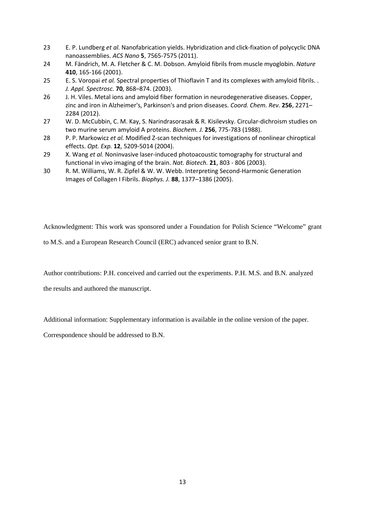- 23 E. P. Lundberg *et al.* Nanofabrication yields. Hybridization and click-fixation of polycyclic DNA nanoassemblies. *ACS Nano* **5**, 7565-7575 (2011).
- 24 M. Fändrich, M. A. Fletcher & C. M. Dobson. Amyloid fibrils from muscle myoglobin. *Nature* **410**, 165-166 (2001).
- 25 E. S. Voropai *et al.* Spectral properties of Thioflavin T and its complexes with amyloid fibrils. . *J. Appl. Spectrosc.* **70**, 868–874. (2003).
- 26 J. H. Viles. Metal ions and amyloid fiber formation in neurodegenerative diseases. Copper, zinc and iron in Alzheimer's, Parkinson's and prion diseases. *Coord. Chem. Rev.* **256**, 2271– 2284 (2012).
- 27 W. D. McCubbin, C. M. Kay, S. Narindrasorasak & R. Kisilevsky. Circular-dichroism studies on two murine serum amyloid A proteins. *Biochem. J.* **256**, 775-783 (1988).
- 28 P. P. Markowicz *et al.* Modified Z-scan techniques for investigations of nonlinear chiroptical effects. *Opt. Exp.* **12**, 5209-5014 (2004).
- 29 X. Wang *et al.* Noninvasive laser-induced photoacoustic tomography for structural and functional in vivo imaging of the brain. *Nat. Biotech.* **21**, 803 - 806 (2003).
- 30 R. M. Williams, W. R. Zipfel & W. W. Webb. Interpreting Second-Harmonic Generation Images of Collagen I Fibrils. *Biophys. J.* **88**, 1377–1386 (2005).

Acknowledgment: This work was sponsored under a Foundation for Polish Science "Welcome" grant

to M.S. and a European Research Council (ERC) advanced senior grant to B.N.

Author contributions: P.H. conceived and carried out the experiments. P.H. M.S. and B.N. analyzed

the results and authored the manuscript.

Additional information: Supplementary information is available in the online version of the paper.

Correspondence should be addressed to B.N.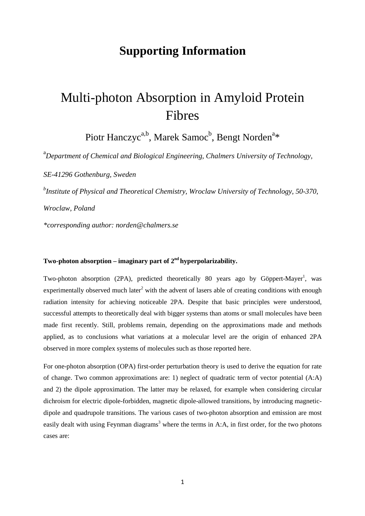## **Supporting Information**

## Multi-photon Absorption in Amyloid Protein Fibres

Piotr Hanczyc<sup>a,b</sup>, Marek Samoc<sup>b</sup>, Bengt Norden<sup>a</sup>\*

<sup>a</sup>*Department of Chemical and Biological Engineering, Chalmers University of Technology,* 

*SE-41296 Gothenburg, Sweden* 

*b Institute of Physical and Theoretical Chemistry, Wroclaw University of Technology, 50-370,* 

*Wroclaw, Poland* 

*\*corresponding author: norden@chalmers.se* 

## **Two-photon absorption – imaginary part of 2nd hyperpolarizability.**

Two-photon absorption (2PA), predicted theoretically 80 years ago by Göppert-Mayer<sup>1</sup>, was experimentally observed much later<sup>2</sup> with the advent of lasers able of creating conditions with enough radiation intensity for achieving noticeable 2PA. Despite that basic principles were understood, successful attempts to theoretically deal with bigger systems than atoms or small molecules have been made first recently. Still, problems remain, depending on the approximations made and methods applied, as to conclusions what variations at a molecular level are the origin of enhanced 2PA observed in more complex systems of molecules such as those reported here.

For one-photon absorption (OPA) first-order perturbation theory is used to derive the equation for rate of change. Two common approximations are: 1) neglect of quadratic term of vector potential (A:A) and 2) the dipole approximation. The latter may be relaxed, for example when considering circular dichroism for electric dipole-forbidden, magnetic dipole-allowed transitions, by introducing magneticdipole and quadrupole transitions. The various cases of two-photon absorption and emission are most easily dealt with using Feynman diagrams<sup>3</sup> where the terms in A:A, in first order, for the two photons cases are: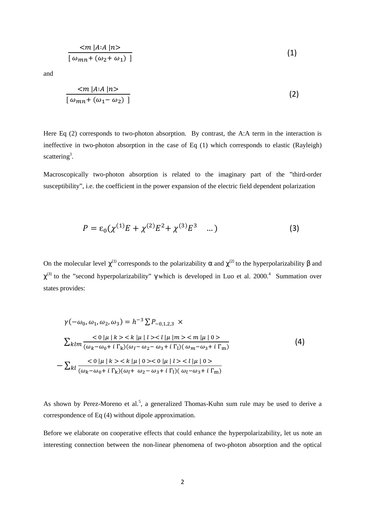$$
\frac{}{\left[\ \omega_{mn}+(\omega_2+\omega_1)\ \right]}
$$
 (1)

and

$$
\frac{}{\left[\ \omega_{mn}+(\omega_1-\omega_2)\ \right]}
$$
 (2)

Here Eq (2) corresponds to two-photon absorption. By contrast, the A:A term in the interaction is ineffective in two-photon absorption in the case of Eq (1) which corresponds to elastic (Rayleigh) scattering<sup>3</sup>.

Macroscopically two-photon absorption is related to the imaginary part of the "third-order susceptibility", i.e. the coefficient in the power expansion of the electric field dependent polarization

$$
P = \varepsilon_0 (\chi^{(1)} E + \chi^{(2)} E^2 + \chi^{(3)} E^3 \quad \dots)
$$
 (3)

On the molecular level  $\chi^{(1)}$  corresponds to the polarizability α and  $\chi^{(2)}$  to the hyperpolarizability β and  $\chi^{(3)}$  to the "second hyperpolarizability"  $\gamma$  which is developed in Luo et al. 2000.<sup>4</sup> Summation over states provides:

$$
\gamma(-\omega_0, \omega_1, \omega_2, \omega_3) = h^{-3} \sum P_{-0,1,2,3} \times
$$
  
\n
$$
\sum k l m \frac{<0 |\mu| k >   }{(\omega_k - \omega_0 + i \Gamma_k)(\omega_l - \omega_2 - \omega_3 + i \Gamma_l)(\omega_m - \omega_3 + i \Gamma_m)}
$$
  
\n
$$
-\sum k l \frac{<0 |\mu| k >  <0 |\mu| l > }{(\omega_k - \omega_0 + i \Gamma_k)(\omega_l + \omega_2 - \omega_3 + i \Gamma_l)(\omega_l - \omega_3 + i \Gamma_m)}
$$
  
\n(4)

As shown by Perez-Moreno et al.<sup>5</sup>, a generalized Thomas-Kuhn sum rule may be used to derive a correspondence of Eq (4) without dipole approximation.

Before we elaborate on cooperative effects that could enhance the hyperpolarizability, let us note an interesting connection between the non-linear phenomena of two-photon absorption and the optical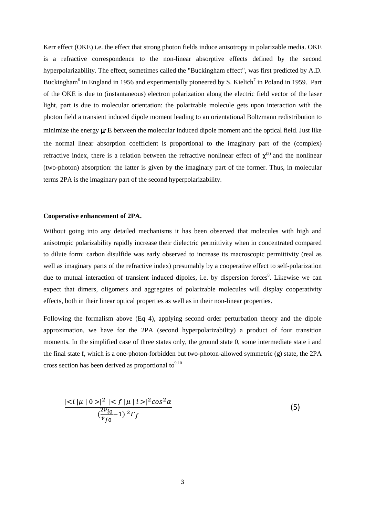Kerr effect (OKE) i.e. the effect that strong photon fields induce anisotropy in polarizable media. OKE is a refractive correspondence to the non-linear absorptive effects defined by the second hyperpolarizability. The effect, sometimes called the "Buckingham effect", was first predicted by A.D. Buckingham<sup>6</sup> in England in 1956 and experimentally pioneered by S. Kielich<sup>7</sup> in Poland in 1959. Part of the OKE is due to (instantaneous) electron polarization along the electric field vector of the laser light, part is due to molecular orientation: the polarizable molecule gets upon interaction with the photon field a transient induced dipole moment leading to an orientational Boltzmann redistribution to minimize the energy µ**·E** between the molecular induced dipole moment and the optical field. Just like the normal linear absorption coefficient is proportional to the imaginary part of the (complex) refractive index, there is a relation between the refractive nonlinear effect of  $\chi^{(3)}$  and the nonlinear (two-photon) absorption: the latter is given by the imaginary part of the former. Thus, in molecular terms 2PA is the imaginary part of the second hyperpolarizability.

#### **Cooperative enhancement of 2PA.**

Without going into any detailed mechanisms it has been observed that molecules with high and anisotropic polarizability rapidly increase their dielectric permittivity when in concentrated compared to dilute form: carbon disulfide was early observed to increase its macroscopic permittivity (real as well as imaginary parts of the refractive index) presumably by a cooperative effect to self-polarization due to mutual interaction of transient induced dipoles, i.e. by dispersion forces<sup>8</sup>. Likewise we can expect that dimers, oligomers and aggregates of polarizable molecules will display cooperativity effects, both in their linear optical properties as well as in their non-linear properties.

Following the formalism above (Eq 4), applying second order perturbation theory and the dipole approximation, we have for the 2PA (second hyperpolarizability) a product of four transition moments. In the simplified case of three states only, the ground state 0, some intermediate state i and the final state f, which is a one-photon-forbidden but two-photon-allowed symmetric (g) state, the 2PA cross section has been derived as proportional to $9,10$ 

$$
\frac{|\langle i|\mu | 0 \rangle|^2 |\langle f|\mu | i \rangle|^2 cos^2 \alpha}{(\frac{2v_{i0}}{v_{f0}} - 1)^2 \Gamma_f} \tag{5}
$$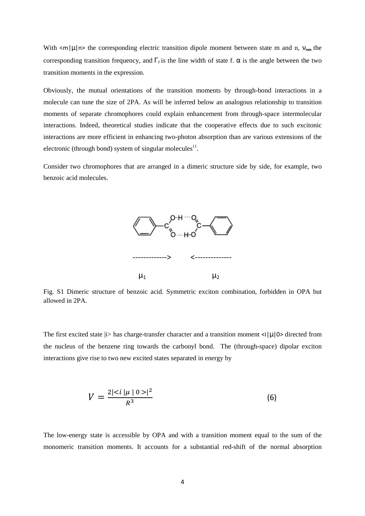With  $\langle m|\mu|n\rangle$  the corresponding electric transition dipole moment between state m and n,  $v_{nm}$  the corresponding transition frequency, and  $\Gamma_f$  is the line width of state f.  $\alpha$  is the angle between the two transition moments in the expression.

Obviously, the mutual orientations of the transition moments by through-bond interactions in a molecule can tune the size of 2PA. As will be inferred below an analogous relationship to transition moments of separate chromophores could explain enhancement from through-space intermolecular interactions. Indeed, theoretical studies indicate that the cooperative effects due to such excitonic interactions are more efficient in enhancing two-photon absorption than are various extensions of the electronic (through bond) system of singular molecules $^{11}$ .

Consider two chromophores that are arranged in a dimeric structure side by side, for example, two benzoic acid molecules.



Fig. S1 Dimeric structure of benzoic acid. Symmetric exciton combination, forbidden in OPA but allowed in 2PA.

The first excited state  $|i\rangle$  has charge-transfer character and a transition moment  $\langle i|\mu|0\rangle$  directed from the nucleus of the benzene ring towards the carbonyl bond. The (through-space) dipolar exciton interactions give rise to two new excited states separated in energy by

$$
V = \frac{2|\langle i|\mu|0\rangle|^2}{R^3} \tag{6}
$$

The low-energy state is accessible by OPA and with a transition moment equal to the sum of the monomeric transition moments. It accounts for a substantial red-shift of the normal absorption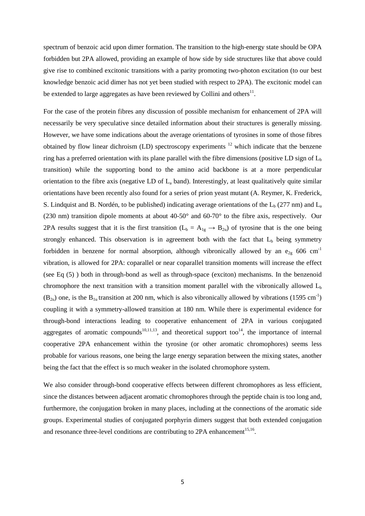spectrum of benzoic acid upon dimer formation. The transition to the high-energy state should be OPA forbidden but 2PA allowed, providing an example of how side by side structures like that above could give rise to combined excitonic transitions with a parity promoting two-photon excitation (to our best knowledge benzoic acid dimer has not yet been studied with respect to 2PA). The excitonic model can be extended to large aggregates as have been reviewed by Collini and others $^{11}$ .

For the case of the protein fibres any discussion of possible mechanism for enhancement of 2PA will necessarily be very speculative since detailed information about their structures is generally missing. However, we have some indications about the average orientations of tyrosines in some of those fibres obtained by flow linear dichroism (LD) spectroscopy experiments  $12$  which indicate that the benzene ring has a preferred orientation with its plane parallel with the fibre dimensions (positive LD sign of  $L<sub>b</sub>$ transition) while the supporting bond to the amino acid backbone is at a more perpendicular orientation to the fibre axis (negative LD of  $L_a$  band). Interestingly, at least qualitatively quite similar orientations have been recently also found for a series of prion yeast mutant (A. Reymer, K. Frederick, S. Lindquist and B. Nordén, to be published) indicating average orientations of the  $L_b$  (277 nm) and  $L_a$ (230 nm) transition dipole moments at about 40-50° and 60-70° to the fibre axis, respectively. Our 2PA results suggest that it is the first transition ( $L_b = A_{1g} \rightarrow B_{2u}$ ) of tyrosine that is the one being strongly enhanced. This observation is in agreement both with the fact that  $L<sub>b</sub>$  being symmetry forbidden in benzene for normal absorption, although vibronically allowed by an  $e_{2g}$  606 cm<sup>-1</sup> vibration, is allowed for 2PA: coparallel or near coparallel transition moments will increase the effect (see Eq (5) ) both in through-bond as well as through-space (exciton) mechanisms. In the benzenoid chromophore the next transition with a transition moment parallel with the vibronically allowed  $L<sub>b</sub>$  $(B_{2u})$  one, is the B<sub>1u</sub> transition at 200 nm, which is also vibronically allowed by vibrations (1595 cm<sup>-1</sup>) coupling it with a symmetry-allowed transition at 180 nm. While there is experimental evidence for through-bond interactions leading to cooperative enhancement of 2PA in various conjugated aggregates of aromatic compounds<sup>10,11,13</sup>, and theoretical support too<sup>14</sup>, the importance of internal cooperative 2PA enhancement within the tyrosine (or other aromatic chromophores) seems less probable for various reasons, one being the large energy separation between the mixing states, another being the fact that the effect is so much weaker in the isolated chromophore system.

We also consider through-bond cooperative effects between different chromophores as less efficient, since the distances between adjacent aromatic chromophores through the peptide chain is too long and, furthermore, the conjugation broken in many places, including at the connections of the aromatic side groups. Experimental studies of conjugated porphyrin dimers suggest that both extended conjugation and resonance three-level conditions are contributing to  $2PA$  enhancement<sup>15,16</sup>.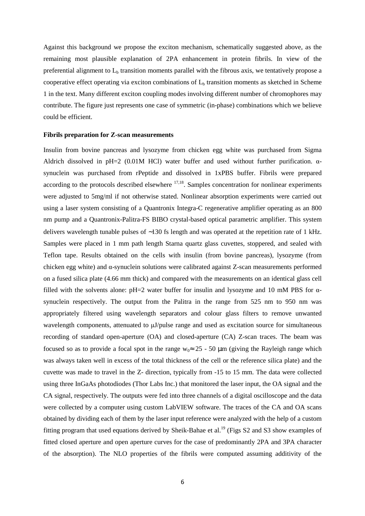Against this background we propose the exciton mechanism, schematically suggested above, as the remaining most plausible explanation of 2PA enhancement in protein fibrils. In view of the preferential alignment to  $L<sub>b</sub>$  transition moments parallel with the fibrous axis, we tentatively propose a cooperative effect operating via exciton combinations of  $L<sub>b</sub>$  transition moments as sketched in Scheme 1 in the text. Many different exciton coupling modes involving different number of chromophores may contribute. The figure just represents one case of symmetric (in-phase) combinations which we believe could be efficient.

#### **Fibrils preparation for Z-scan measurements**

Insulin from bovine pancreas and lysozyme from chicken egg white was purchased from Sigma Aldrich dissolved in pH=2 (0.01M HCl) water buffer and used without further purification.  $\alpha$ synuclein was purchased from rPeptide and dissolved in 1xPBS buffer. Fibrils were prepared according to the protocols described elsewhere  $17,18$ . Samples concentration for nonlinear experiments were adjusted to 5mg/ml if not otherwise stated. Nonlinear absorption experiments were carried out using a laser system consisting of a Quantronix Integra-C regenerative amplifier operating as an 800 nm pump and a Quantronix-Palitra-FS BIBO crystal-based optical parametric amplifier. This system delivers wavelength tunable pulses of ∼130 fs length and was operated at the repetition rate of 1 kHz. Samples were placed in 1 mm path length Starna quartz glass cuvettes, stoppered, and sealed with Teflon tape. Results obtained on the cells with insulin (from bovine pancreas), lysozyme (from chicken egg white) and  $\alpha$ -synuclein solutions were calibrated against Z-scan measurements performed on a fused silica plate (4.66 mm thick) and compared with the measurements on an identical glass cell filled with the solvents alone:  $pH=2$  water buffer for insulin and lysozyme and 10 mM PBS for  $\alpha$ synuclein respectively. The output from the Palitra in the range from 525 nm to 950 nm was appropriately filtered using wavelength separators and colour glass filters to remove unwanted wavelength components, attenuated to  $\mu$ *J*/pulse range and used as excitation source for simultaneous recording of standard open-aperture (OA) and closed-aperture (CA) Z-scan traces. The beam was focused so as to provide a focal spot in the range w<sub>0</sub>≈ 25 - 50 µm (giving the Rayleigh range which was always taken well in excess of the total thickness of the cell or the reference silica plate) and the cuvette was made to travel in the Z- direction, typically from -15 to 15 mm. The data were collected using three InGaAs photodiodes (Thor Labs Inc.) that monitored the laser input, the OA signal and the CA signal, respectively. The outputs were fed into three channels of a digital oscilloscope and the data were collected by a computer using custom LabVIEW software. The traces of the CA and OA scans obtained by dividing each of them by the laser input reference were analyzed with the help of a custom fitting program that used equations derived by Sheik-Bahae et al.<sup>19</sup> (Figs S2 and S3 show examples of fitted closed aperture and open aperture curves for the case of predominantly 2PA and 3PA character of the absorption). The NLO properties of the fibrils were computed assuming additivity of the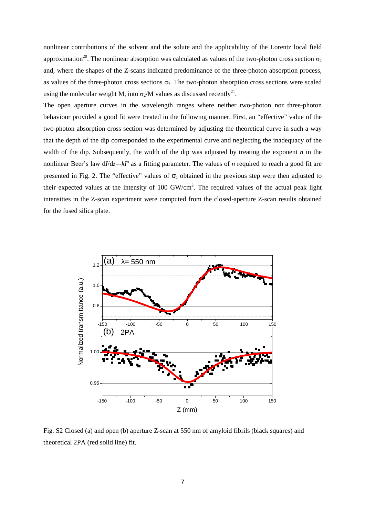nonlinear contributions of the solvent and the solute and the applicability of the Lorentz local field approximation<sup>20</sup>. The nonlinear absorption was calculated as values of the two-photon cross section  $\sigma_2$ and, where the shapes of the Z-scans indicated predominance of the three-photon absorption process, as values of the three-photon cross sections  $\sigma_3$ . The two-photon absorption cross sections were scaled using the molecular weight M, into  $\sigma_2/M$  values as discussed recently<sup>21</sup>.

The open aperture curves in the wavelength ranges where neither two-photon nor three-photon behaviour provided a good fit were treated in the following manner. First, an "effective" value of the two-photon absorption cross section was determined by adjusting the theoretical curve in such a way that the depth of the dip corresponded to the experimental curve and neglecting the inadequacy of the width of the dip. Subsequently, the width of the dip was adjusted by treating the exponent *n* in the nonlinear Beer's law d*I*/d*z*=-*kI<sup>n</sup>* as a fitting parameter. The values of *n* required to reach a good fit are presented in Fig. 2. The "effective" values of  $\sigma_2$  obtained in the previous step were then adjusted to their expected values at the intensity of 100 GW/cm<sup>2</sup>. The required values of the actual peak light intensities in the Z-scan experiment were computed from the closed-aperture Z-scan results obtained for the fused silica plate.



Fig. S2 Closed (a) and open (b) aperture Z-scan at 550 nm of amyloid fibrils (black squares) and theoretical 2PA (red solid line) fit.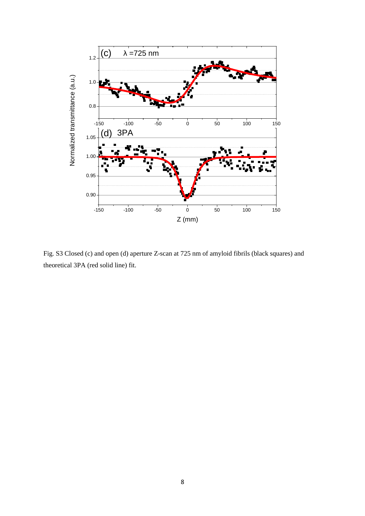

Fig. S3 Closed (c) and open (d) aperture Z-scan at 725 nm of amyloid fibrils (black squares) and theoretical 3PA (red solid line) fit.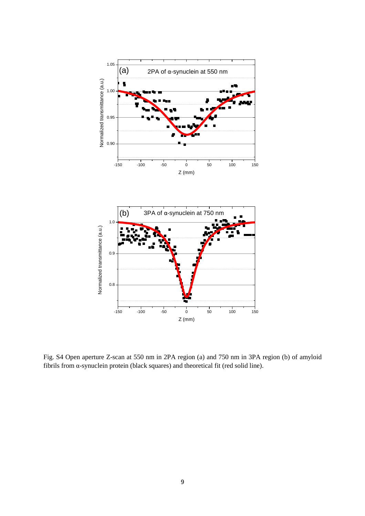

Fig. S4 Open aperture Z-scan at 550 nm in 2PA region (a) and 750 nm in 3PA region (b) of amyloid fibrils from α-synuclein protein (black squares) and theoretical fit (red solid line).

-150 -100 -50 0 50 100 150

Z (mm)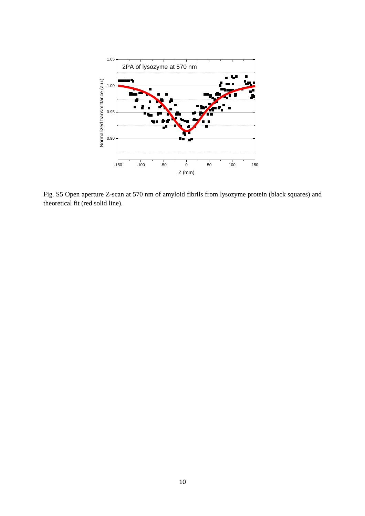

Fig. S5 Open aperture Z-scan at 570 nm of amyloid fibrils from lysozyme protein (black squares) and theoretical fit (red solid line).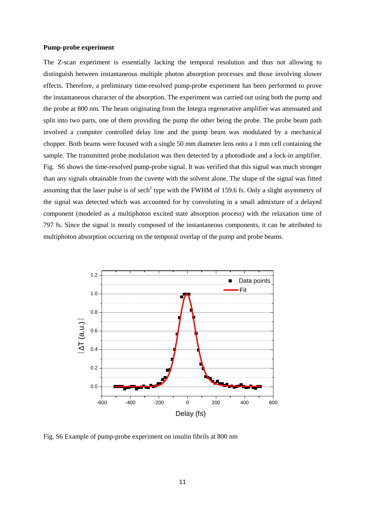#### **Pump-probe experiment**

The Z-scan experiment is essentially lacking the temporal resolution and thus not allowing to distinguish between instantaneous multiple photon absorption processes and those involving slower effects. Therefore, a preliminary time-resolved pump-probe experiment has been performed to prove the instantaneous character of the absorption. The experiment was carried out using both the pump and the probe at 800 nm. The beam originating from the Integra regenerative amplifier was attenuated and split into two parts, one of them providing the pump the other being the probe. The probe beam path involved a computer controlled delay line and the pump beam was modulated by a mechanical chopper. Both beams were focused with a single 50 mm diameter lens onto a 1 mm cell containing the sample. The transmitted probe modulation was then detected by a photodiode and a lock-in amplifier. Fig. S6 shows the time-resolved pump-probe signal. It was verified that this signal was much stronger than any signals obtainable from the cuvette with the solvent alone. The shape of the signal was fitted assuming that the laser pulse is of sech<sup>2</sup> type with the FWHM of 159.6 fs. Only a slight asymmetry of the signal was detected which was accounted for by convoluting in a small admixture of a delayed component (modeled as a multiphoton excited state absorption process) with the relaxation time of 797 fs. Since the signal is mostly composed of the instantaneous components, it can be attributed to multiphoton absorption occurring on the temporal overlap of the pump and probe beams.



Fig. S6 Example of pump-probe experiment on insulin fibrils at 800 nm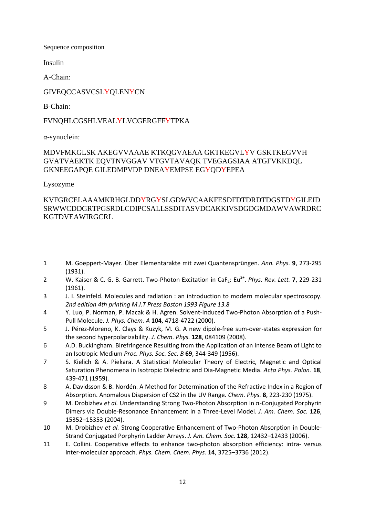Sequence composition

Insulin

A-Chain:

## GIVEQCCASVCSLYQLENYCN

B-Chain:

## FVNQHLCGSHLVEALYLVCGERGFFYTPKA

α-synuclein:

## MDVFMKGLSK AKEGVVAAAE KTKQGVAEAA GKTKEGVLYV GSKTKEGVVH GVATVAEKTK EQVTNVGGAV VTGVTAVAQK TVEGAGSIAA ATGFVKKDQL GKNEEGAPQE GILEDMPVDP DNEAYEMPSE EGYQDYEPEA

Lysozyme

## KVFGRCELAAAMKRHGLDDYRGYSLGDWVCAAKFESDFDTDRDTDGSTDYGILEID SRWWCDDGRTPGSRDLCDIPCSALLSSDITASVDCAKKIVSDGDGMDAWVAWRDRC KGTDVEAWIRGCRL

- 1 M. Goeppert-Mayer. Über Elementarakte mit zwei Quantensprüngen. *Ann. Phys.* **9**, 273-295 (1931).
- 2 W. Kaiser & C. G. B. Garrett. Two-Photon Excitation in CaF<sub>2</sub>: Eu<sup>2+</sup>. Phys. Rev. Lett. **7**, 229-231 (1961).
- 3 J. I. Steinfeld. Molecules and radiation : an introduction to modern molecular spectroscopy. *2nd edition 4th printing M.I.T Press Boston 1993 Figure 13.8*
- 4 Y. Luo, P. Norman, P. Macak & H. Agren. Solvent-Induced Two-Photon Absorption of a Push-Pull Molecule. *J. Phys. Chem. A* **104**, 4718-4722 (2000).
- 5 J. Pérez-Moreno, K. Clays & Kuzyk, M. G. A new dipole-free sum-over-states expression for the second hyperpolarizability. *J. Chem. Phys.* **128**, 084109 (2008).
- 6 A.D. Buckingham. Birefringence Resulting from the Application of an Intense Beam of Light to an Isotropic Medium *Proc. Phys. Soc. Sec. B* **69**, 344-349 (1956).
- 7 S. Kielich & A. Piekara. A Statistical Molecular Theory of Electric, Magnetic and Optical Saturation Phenomena in Isotropic Dielectric and Dia-Magnetic Media. *Acta Phys. Polon.* **18**, 439-471 (1959).
- 8 A. Davidsson & B. Nordén. A Method for Determination of the Refractive Index in a Region of Absorption. Anomalous Dispersion of CS2 in the UV Range. *Chem. Phys.* **8**, 223-230 (1975).
- 9 M. Drobizhev *et al.* Understanding Strong Two-Photon Absorption in π-Conjugated Porphyrin Dimers via Double-Resonance Enhancement in a Three-Level Model. *J. Am. Chem. Soc.* **126**, 15352–15353 (2004).
- 10 M. Drobizhev *et al.* Strong Cooperative Enhancement of Two-Photon Absorption in Double-Strand Conjugated Porphyrin Ladder Arrays. *J. Am. Chem. Soc.* **128**, 12432–12433 (2006).
- 11 E. Collini. Cooperative effects to enhance two-photon absorption efficiency: intra- versus inter-molecular approach. *Phys. Chem. Chem. Phys.* **14**, 3725–3736 (2012).